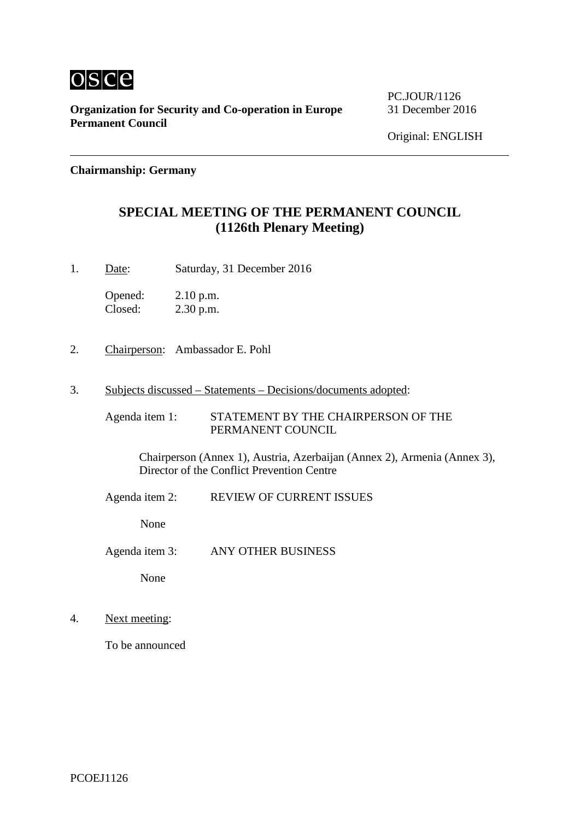

**Organization for Security and Co-operation in Europe** 31 December 2016 **Permanent Council**

PC.JOUR/1126

**Chairmanship: Germany**

## **SPECIAL MEETING OF THE PERMANENT COUNCIL (1126th Plenary Meeting)**

1. Date: Saturday, 31 December 2016

Opened: 2.10 p.m. Closed: 2.30 p.m.

- 2. Chairperson: Ambassador E. Pohl
- 3. Subjects discussed Statements Decisions/documents adopted:

Agenda item 1: STATEMENT BY THE CHAIRPERSON OF THE PERMANENT COUNCIL

Chairperson (Annex 1), Austria, Azerbaijan (Annex 2), Armenia (Annex 3), Director of the Conflict Prevention Centre

Agenda item 2: REVIEW OF CURRENT ISSUES

None

Agenda item 3: ANY OTHER BUSINESS

None

4. Next meeting:

To be announced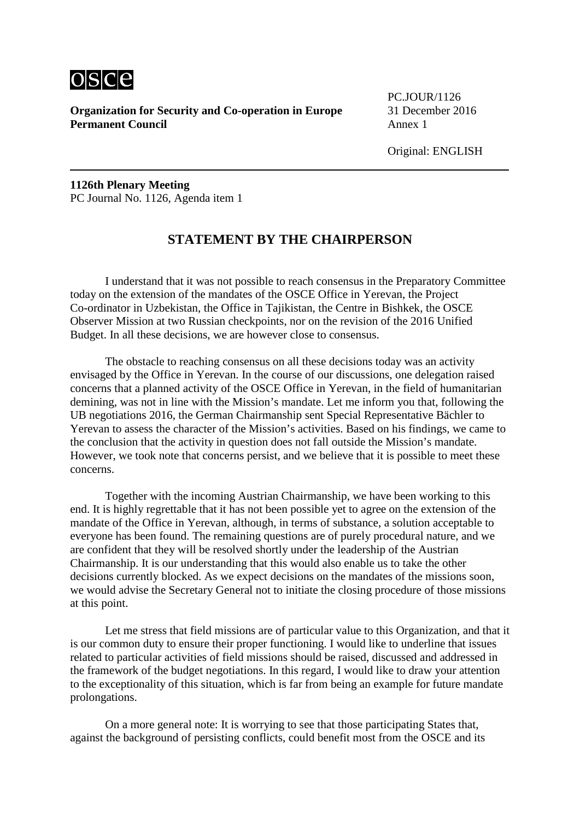

**Organization for Security and Co-operation in Europe** 31 December 2016 **Permanent Council** Annex 1

PC.JOUR/1126

Original: ENGLISH

**1126th Plenary Meeting** PC Journal No. 1126, Agenda item 1

## **STATEMENT BY THE CHAIRPERSON**

I understand that it was not possible to reach consensus in the Preparatory Committee today on the extension of the mandates of the OSCE Office in Yerevan, the Project Co-ordinator in Uzbekistan, the Office in Tajikistan, the Centre in Bishkek, the OSCE Observer Mission at two Russian checkpoints, nor on the revision of the 2016 Unified Budget. In all these decisions, we are however close to consensus.

The obstacle to reaching consensus on all these decisions today was an activity envisaged by the Office in Yerevan. In the course of our discussions, one delegation raised concerns that a planned activity of the OSCE Office in Yerevan, in the field of humanitarian demining, was not in line with the Mission's mandate. Let me inform you that, following the UB negotiations 2016, the German Chairmanship sent Special Representative Bächler to Yerevan to assess the character of the Mission's activities. Based on his findings, we came to the conclusion that the activity in question does not fall outside the Mission's mandate. However, we took note that concerns persist, and we believe that it is possible to meet these concerns.

Together with the incoming Austrian Chairmanship, we have been working to this end. It is highly regrettable that it has not been possible yet to agree on the extension of the mandate of the Office in Yerevan, although, in terms of substance, a solution acceptable to everyone has been found. The remaining questions are of purely procedural nature, and we are confident that they will be resolved shortly under the leadership of the Austrian Chairmanship. It is our understanding that this would also enable us to take the other decisions currently blocked. As we expect decisions on the mandates of the missions soon, we would advise the Secretary General not to initiate the closing procedure of those missions at this point.

Let me stress that field missions are of particular value to this Organization, and that it is our common duty to ensure their proper functioning. I would like to underline that issues related to particular activities of field missions should be raised, discussed and addressed in the framework of the budget negotiations. In this regard, I would like to draw your attention to the exceptionality of this situation, which is far from being an example for future mandate prolongations.

On a more general note: It is worrying to see that those participating States that, against the background of persisting conflicts, could benefit most from the OSCE and its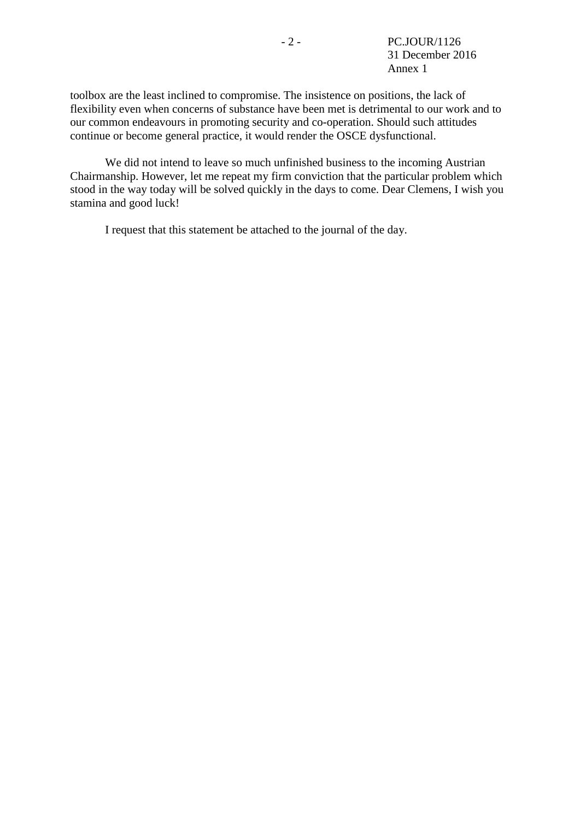toolbox are the least inclined to compromise. The insistence on positions, the lack of flexibility even when concerns of substance have been met is detrimental to our work and to our common endeavours in promoting security and co-operation. Should such attitudes continue or become general practice, it would render the OSCE dysfunctional.

We did not intend to leave so much unfinished business to the incoming Austrian Chairmanship. However, let me repeat my firm conviction that the particular problem which stood in the way today will be solved quickly in the days to come. Dear Clemens, I wish you stamina and good luck!

I request that this statement be attached to the journal of the day.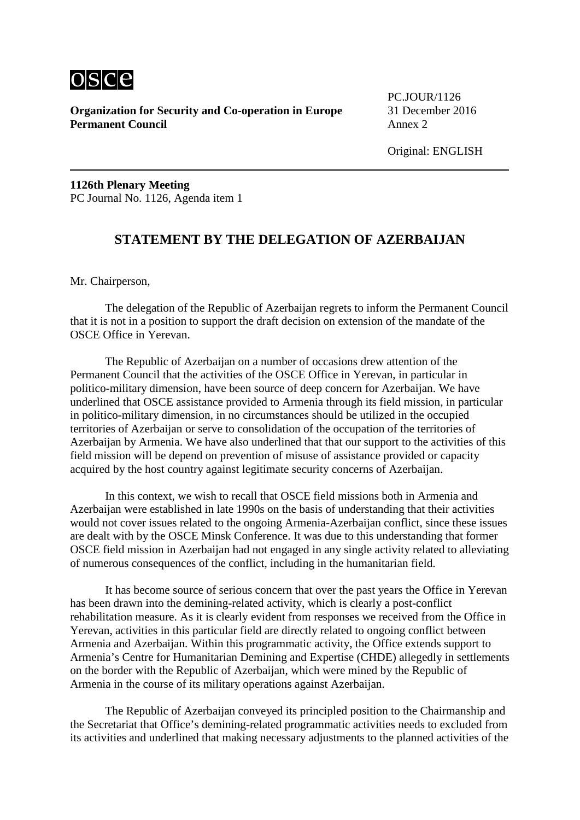

**Organization for Security and Co-operation in Europe** 31 December 2016 **Permanent Council** Annex 2

PC.JOUR/1126

Original: ENGLISH

**1126th Plenary Meeting** PC Journal No. 1126, Agenda item 1

## **STATEMENT BY THE DELEGATION OF AZERBAIJAN**

Mr. Chairperson,

The delegation of the Republic of Azerbaijan regrets to inform the Permanent Council that it is not in a position to support the draft decision on extension of the mandate of the OSCE Office in Yerevan.

The Republic of Azerbaijan on a number of occasions drew attention of the Permanent Council that the activities of the OSCE Office in Yerevan, in particular in politico-military dimension, have been source of deep concern for Azerbaijan. We have underlined that OSCE assistance provided to Armenia through its field mission, in particular in politico-military dimension, in no circumstances should be utilized in the occupied territories of Azerbaijan or serve to consolidation of the occupation of the territories of Azerbaijan by Armenia. We have also underlined that that our support to the activities of this field mission will be depend on prevention of misuse of assistance provided or capacity acquired by the host country against legitimate security concerns of Azerbaijan.

In this context, we wish to recall that OSCE field missions both in Armenia and Azerbaijan were established in late 1990s on the basis of understanding that their activities would not cover issues related to the ongoing Armenia-Azerbaijan conflict, since these issues are dealt with by the OSCE Minsk Conference. It was due to this understanding that former OSCE field mission in Azerbaijan had not engaged in any single activity related to alleviating of numerous consequences of the conflict, including in the humanitarian field.

It has become source of serious concern that over the past years the Office in Yerevan has been drawn into the demining-related activity, which is clearly a post-conflict rehabilitation measure. As it is clearly evident from responses we received from the Office in Yerevan, activities in this particular field are directly related to ongoing conflict between Armenia and Azerbaijan. Within this programmatic activity, the Office extends support to Armenia's Centre for Humanitarian Demining and Expertise (CHDE) allegedly in settlements on the border with the Republic of Azerbaijan, which were mined by the Republic of Armenia in the course of its military operations against Azerbaijan.

The Republic of Azerbaijan conveyed its principled position to the Chairmanship and the Secretariat that Office's demining-related programmatic activities needs to excluded from its activities and underlined that making necessary adjustments to the planned activities of the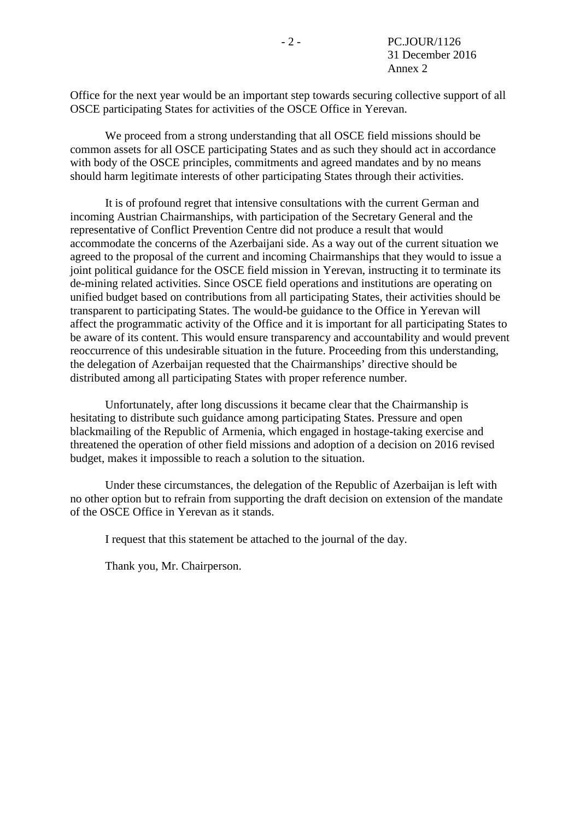Office for the next year would be an important step towards securing collective support of all OSCE participating States for activities of the OSCE Office in Yerevan.

We proceed from a strong understanding that all OSCE field missions should be common assets for all OSCE participating States and as such they should act in accordance with body of the OSCE principles, commitments and agreed mandates and by no means should harm legitimate interests of other participating States through their activities.

It is of profound regret that intensive consultations with the current German and incoming Austrian Chairmanships, with participation of the Secretary General and the representative of Conflict Prevention Centre did not produce a result that would accommodate the concerns of the Azerbaijani side. As a way out of the current situation we agreed to the proposal of the current and incoming Chairmanships that they would to issue a joint political guidance for the OSCE field mission in Yerevan, instructing it to terminate its de-mining related activities. Since OSCE field operations and institutions are operating on unified budget based on contributions from all participating States, their activities should be transparent to participating States. The would-be guidance to the Office in Yerevan will affect the programmatic activity of the Office and it is important for all participating States to be aware of its content. This would ensure transparency and accountability and would prevent reoccurrence of this undesirable situation in the future. Proceeding from this understanding, the delegation of Azerbaijan requested that the Chairmanships' directive should be distributed among all participating States with proper reference number.

Unfortunately, after long discussions it became clear that the Chairmanship is hesitating to distribute such guidance among participating States. Pressure and open blackmailing of the Republic of Armenia, which engaged in hostage-taking exercise and threatened the operation of other field missions and adoption of a decision on 2016 revised budget, makes it impossible to reach a solution to the situation.

Under these circumstances, the delegation of the Republic of Azerbaijan is left with no other option but to refrain from supporting the draft decision on extension of the mandate of the OSCE Office in Yerevan as it stands.

I request that this statement be attached to the journal of the day.

Thank you, Mr. Chairperson.